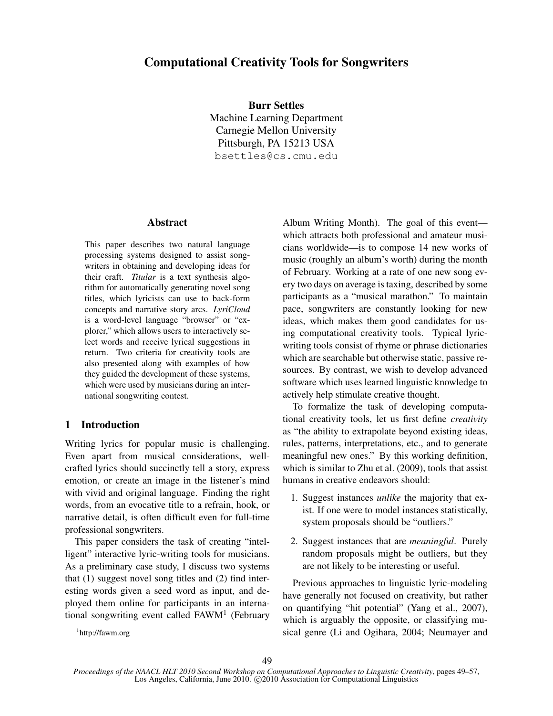# Computational Creativity Tools for Songwriters

Burr Settles Machine Learning Department Carnegie Mellon University Pittsburgh, PA 15213 USA bsettles@cs.cmu.edu

#### Abstract

This paper describes two natural language processing systems designed to assist songwriters in obtaining and developing ideas for their craft. *Titular* is a text synthesis algorithm for automatically generating novel song titles, which lyricists can use to back-form concepts and narrative story arcs. *LyriCloud* is a word-level language "browser" or "explorer," which allows users to interactively select words and receive lyrical suggestions in return. Two criteria for creativity tools are also presented along with examples of how they guided the development of these systems, which were used by musicians during an international songwriting contest.

## 1 Introduction

Writing lyrics for popular music is challenging. Even apart from musical considerations, wellcrafted lyrics should succinctly tell a story, express emotion, or create an image in the listener's mind with vivid and original language. Finding the right words, from an evocative title to a refrain, hook, or narrative detail, is often difficult even for full-time professional songwriters.

This paper considers the task of creating "intelligent" interactive lyric-writing tools for musicians. As a preliminary case study, I discuss two systems that (1) suggest novel song titles and (2) find interesting words given a seed word as input, and deployed them online for participants in an international songwriting event called FAWM<sup>1</sup> (February

Album Writing Month). The goal of this event which attracts both professional and amateur musicians worldwide—is to compose 14 new works of music (roughly an album's worth) during the month of February. Working at a rate of one new song every two days on average is taxing, described by some participants as a "musical marathon." To maintain pace, songwriters are constantly looking for new ideas, which makes them good candidates for using computational creativity tools. Typical lyricwriting tools consist of rhyme or phrase dictionaries which are searchable but otherwise static, passive resources. By contrast, we wish to develop advanced software which uses learned linguistic knowledge to actively help stimulate creative thought.

To formalize the task of developing computational creativity tools, let us first define *creativity* as "the ability to extrapolate beyond existing ideas, rules, patterns, interpretations, etc., and to generate meaningful new ones." By this working definition, which is similar to Zhu et al. (2009), tools that assist humans in creative endeavors should:

- 1. Suggest instances *unlike* the majority that exist. If one were to model instances statistically, system proposals should be "outliers."
- 2. Suggest instances that are *meaningful*. Purely random proposals might be outliers, but they are not likely to be interesting or useful.

Previous approaches to linguistic lyric-modeling have generally not focused on creativity, but rather on quantifying "hit potential" (Yang et al., 2007), which is arguably the opposite, or classifying musical genre (Li and Ogihara, 2004; Neumayer and

<sup>1</sup> http://fawm.org

*Proceedings of the NAACL HLT 2010 Second Workshop on Computational Approaches to Linguistic Creativity*, pages 49–57, Los Angeles, California, June 2010. C 2010 Association for Computational Linguistics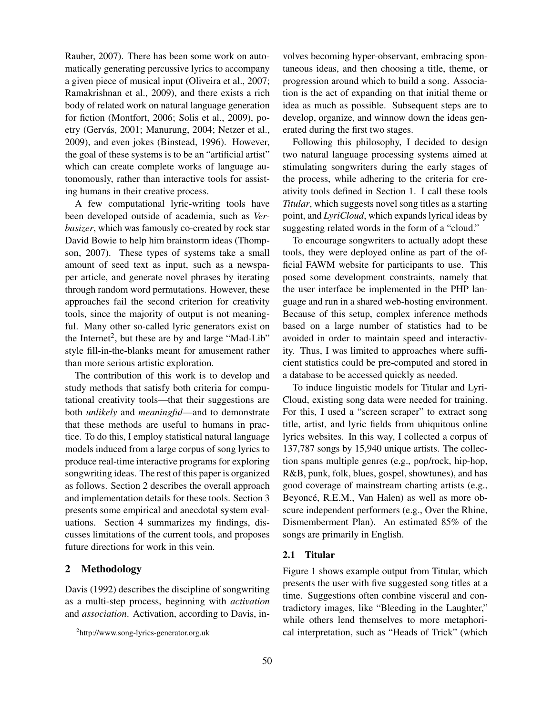Rauber, 2007). There has been some work on automatically generating percussive lyrics to accompany a given piece of musical input (Oliveira et al., 2007; Ramakrishnan et al., 2009), and there exists a rich body of related work on natural language generation for fiction (Montfort, 2006; Solis et al., 2009), poetry (Gervás, 2001; Manurung, 2004; Netzer et al., 2009), and even jokes (Binstead, 1996). However, the goal of these systems is to be an "artificial artist" which can create complete works of language autonomously, rather than interactive tools for assisting humans in their creative process.

A few computational lyric-writing tools have been developed outside of academia, such as *Verbasizer*, which was famously co-created by rock star David Bowie to help him brainstorm ideas (Thompson, 2007). These types of systems take a small amount of seed text as input, such as a newspaper article, and generate novel phrases by iterating through random word permutations. However, these approaches fail the second criterion for creativity tools, since the majority of output is not meaningful. Many other so-called lyric generators exist on the Internet<sup>2</sup>, but these are by and large "Mad-Lib" style fill-in-the-blanks meant for amusement rather than more serious artistic exploration.

The contribution of this work is to develop and study methods that satisfy both criteria for computational creativity tools—that their suggestions are both *unlikely* and *meaningful*—and to demonstrate that these methods are useful to humans in practice. To do this, I employ statistical natural language models induced from a large corpus of song lyrics to produce real-time interactive programs for exploring songwriting ideas. The rest of this paper is organized as follows. Section 2 describes the overall approach and implementation details for these tools. Section 3 presents some empirical and anecdotal system evaluations. Section 4 summarizes my findings, discusses limitations of the current tools, and proposes future directions for work in this vein.

## 2 Methodology

Davis (1992) describes the discipline of songwriting as a multi-step process, beginning with *activation* and *association*. Activation, according to Davis, involves becoming hyper-observant, embracing spontaneous ideas, and then choosing a title, theme, or progression around which to build a song. Association is the act of expanding on that initial theme or idea as much as possible. Subsequent steps are to develop, organize, and winnow down the ideas generated during the first two stages.

Following this philosophy, I decided to design two natural language processing systems aimed at stimulating songwriters during the early stages of the process, while adhering to the criteria for creativity tools defined in Section 1. I call these tools *Titular*, which suggests novel song titles as a starting point, and *LyriCloud*, which expands lyrical ideas by suggesting related words in the form of a "cloud."

To encourage songwriters to actually adopt these tools, they were deployed online as part of the official FAWM website for participants to use. This posed some development constraints, namely that the user interface be implemented in the PHP language and run in a shared web-hosting environment. Because of this setup, complex inference methods based on a large number of statistics had to be avoided in order to maintain speed and interactivity. Thus, I was limited to approaches where sufficient statistics could be pre-computed and stored in a database to be accessed quickly as needed.

To induce linguistic models for Titular and Lyri-Cloud, existing song data were needed for training. For this, I used a "screen scraper" to extract song title, artist, and lyric fields from ubiquitous online lyrics websites. In this way, I collected a corpus of 137,787 songs by 15,940 unique artists. The collection spans multiple genres (e.g., pop/rock, hip-hop, R&B, punk, folk, blues, gospel, showtunes), and has good coverage of mainstream charting artists (e.g., Beyoncé, R.E.M., Van Halen) as well as more obscure independent performers (e.g., Over the Rhine, Dismemberment Plan). An estimated 85% of the songs are primarily in English.

#### 2.1 Titular

Figure 1 shows example output from Titular, which presents the user with five suggested song titles at a time. Suggestions often combine visceral and contradictory images, like "Bleeding in the Laughter," while others lend themselves to more metaphorical interpretation, such as "Heads of Trick" (which

<sup>2</sup> http://www.song-lyrics-generator.org.uk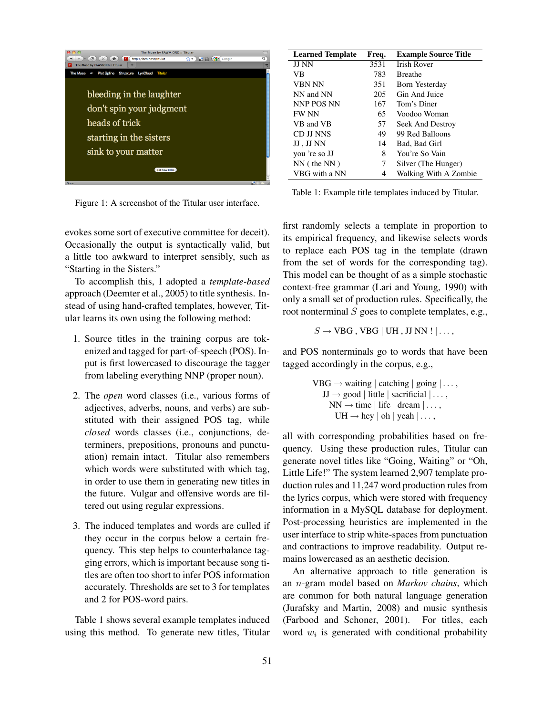

Figure 1: A screenshot of the Titular user interface.

evokes some sort of executive committee for deceit). Occasionally the output is syntactically valid, but a little too awkward to interpret sensibly, such as "Starting in the Sisters."

To accomplish this, I adopted a *template-based* approach (Deemter et al., 2005) to title synthesis. Instead of using hand-crafted templates, however, Titular learns its own using the following method:

- 1. Source titles in the training corpus are tokenized and tagged for part-of-speech (POS). Input is first lowercased to discourage the tagger from labeling everything NNP (proper noun).
- 2. The *open* word classes (i.e., various forms of adjectives, adverbs, nouns, and verbs) are substituted with their assigned POS tag, while *closed* words classes (i.e., conjunctions, determiners, prepositions, pronouns and punctuation) remain intact. Titular also remembers which words were substituted with which tag, in order to use them in generating new titles in the future. Vulgar and offensive words are filtered out using regular expressions.
- 3. The induced templates and words are culled if they occur in the corpus below a certain frequency. This step helps to counterbalance tagging errors, which is important because song titles are often too short to infer POS information accurately. Thresholds are set to 3 for templates and 2 for POS-word pairs.

Table 1 shows several example templates induced using this method. To generate new titles, Titular

| <b>Learned Template</b> | Freq. | <b>Example Source Title</b> |
|-------------------------|-------|-----------------------------|
| JJ NN                   | 3531  | <b>Irish Rover</b>          |
| VB                      | 783   | <b>Breathe</b>              |
| <b>VBN NN</b>           | 351   | Born Yesterday              |
| NN and NN               | 205   | Gin And Juice               |
| NNP POS NN              | 167   | Tom's Diner                 |
| <b>FW NN</b>            | 65    | Voodoo Woman                |
| VB and VB               | 57    | Seek And Destroy            |
| CD JJ NNS               | 49    | 99 Red Balloons             |
| JJ , JJ NN              | 14    | Bad, Bad Girl               |
| you 're so JJ           | 8     | You're So Vain              |
| $NN($ the $NN)$         | 7     | Silver (The Hunger)         |
| VBG with a NN           | 4     | Walking With A Zombie       |

Table 1: Example title templates induced by Titular.

first randomly selects a template in proportion to its empirical frequency, and likewise selects words to replace each POS tag in the template (drawn from the set of words for the corresponding tag). This model can be thought of as a simple stochastic context-free grammar (Lari and Young, 1990) with only a small set of production rules. Specifically, the root nonterminal  $S$  goes to complete templates, e.g.,

 $S \rightarrow VBG$ , VBG | UH, JJ NN !  $| \dots$ ,

and POS nonterminals go to words that have been tagged accordingly in the corpus, e.g.,

> $VBG \rightarrow waiting \mid catching \mid going \mid \dots$ ,  $JJ \rightarrow good \mid little \mid sacrifice \mid . . . .$  $NN \rightarrow time \mid life \mid dream \mid \dots$  $UH \rightarrow \text{hey} \mid \text{oh} \mid \text{yeah} \mid \dots$ ,

all with corresponding probabilities based on frequency. Using these production rules, Titular can generate novel titles like "Going, Waiting" or "Oh, Little Life!" The system learned 2,907 template production rules and 11,247 word production rules from the lyrics corpus, which were stored with frequency information in a MySQL database for deployment. Post-processing heuristics are implemented in the user interface to strip white-spaces from punctuation and contractions to improve readability. Output remains lowercased as an aesthetic decision.

An alternative approach to title generation is an n-gram model based on *Markov chains*, which are common for both natural language generation (Jurafsky and Martin, 2008) and music synthesis (Farbood and Schoner, 2001). For titles, each word  $w_i$  is generated with conditional probability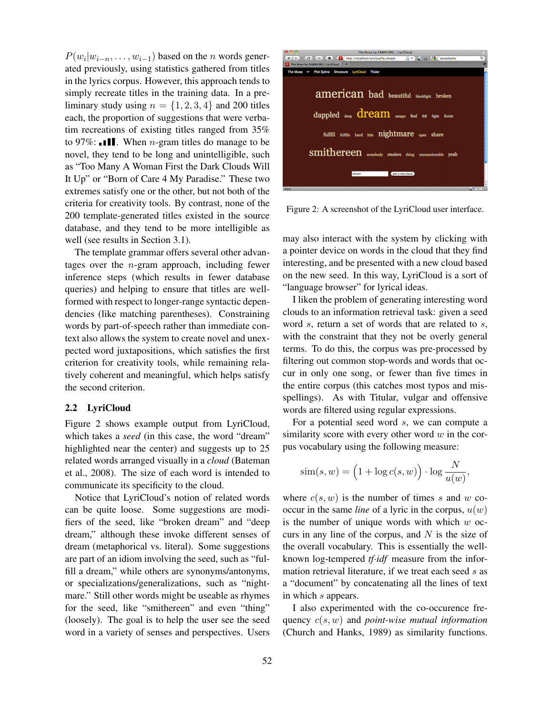$P(w_i|w_{i-n}, \ldots, w_{i-1})$  based on the *n* words generated previously, using statistics gathered from titles in the lyrics corpus. However, this approach tends to simply recreate titles in the training data. In a preliminary study using  $n = \{1, 2, 3, 4\}$  and 200 titles each, the proportion of suggestions that were verbatim recreations of existing titles ranged from 35% to 97%:  $\blacksquare \blacksquare \blacksquare$  When *n*-gram titles do manage to be novel, they tend to be long and unintelligible, such as "Too Many A Woman First the Dark Clouds Will It Up" or "Born of Care 4 My Paradise." These two extremes satisfy one or the other, but not both of the criteria for creativity tools. By contrast, none of the 200 template-generated titles existed in the source database, and they tend to be more intelligible as well (see results in Section 3.1).

The template grammar offers several other advantages over the n-gram approach, including fewer inference steps (which results in fewer database queries) and helping to ensure that titles are wellformed with respect to longer-range syntactic dependencies (like matching parentheses). Constraining words by part-of-speech rather than immediate context also allows the system to create novel and unexpected word juxtapositions, which satisfies the first criterion for creativity tools, while remaining relatively coherent and meaningful, which helps satisfy the second criterion.

#### 2.2 LyriCloud

Figure 2 shows example output from LyriCloud, which takes a *seed* (in this case, the word "dream" highlighted near the center) and suggests up to 25 related words arranged visually in a *cloud* (Bateman et al., 2008). The size of each word is intended to communicate its specificity to the cloud.

Notice that LyriCloud's notion of related words can be quite loose. Some suggestions are modifiers of the seed, like "broken dream" and "deep dream," although these invoke different senses of dream (metaphorical vs. literal). Some suggestions are part of an idiom involving the seed, such as "fulfill a dream," while others are synonyms/antonyms, or specializations/generalizations, such as "nightmare." Still other words might be useable as rhymes for the seed, like "smithereen" and even "thing" (loosely). The goal is to help the user see the seed word in a variety of senses and perspectives. Users



Figure 2: A screenshot of the LyriCloud user interface.

may also interact with the system by clicking with a pointer device on words in the cloud that they find interesting, and be presented with a new cloud based on the new seed. In this way, LyriCloud is a sort of "language browser" for lyrical ideas.

I liken the problem of generating interesting word clouds to an information retrieval task: given a seed word s, return a set of words that are related to s, with the constraint that they not be overly general terms. To do this, the corpus was pre-processed by filtering out common stop-words and words that occur in only one song, or fewer than five times in the entire corpus (this catches most typos and misspellings). As with Titular, vulgar and offensive words are filtered using regular expressions.

For a potential seed word  $s$ , we can compute a similarity score with every other word  $w$  in the corpus vocabulary using the following measure:

$$
\text{sim}(s, w) = \left(1 + \log c(s, w)\right) \cdot \log \frac{N}{u(w)},
$$

where  $c(s, w)$  is the number of times s and w cooccur in the same *line* of a lyric in the corpus,  $u(w)$ is the number of unique words with which  $w$  occurs in any line of the corpus, and  $N$  is the size of the overall vocabulary. This is essentially the wellknown log-tempered *tf*·*idf* measure from the information retrieval literature, if we treat each seed s as a "document" by concatenating all the lines of text in which s appears.

I also experimented with the co-occurence frequency c(s, w) and *point-wise mutual information* (Church and Hanks, 1989) as similarity functions.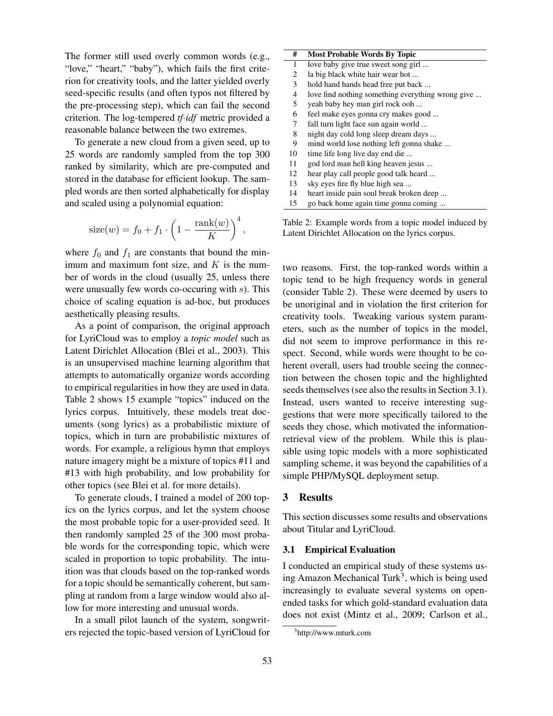The former still used overly common words (e.g., "love," "heart," "baby"), which fails the first criterion for creativity tools, and the latter yielded overly seed-specific results (and often typos not filtered by the pre-processing step), which can fail the second criterion. The log-tempered *tf*·*idf* metric provided a reasonable balance between the two extremes.

To generate a new cloud from a given seed, up to 25 words are randomly sampled from the top 300 ranked by similarity, which are pre-computed and stored in the database for efficient lookup. The sampled words are then sorted alphabetically for display and scaled using a polynomial equation:

size
$$
(w) = f_0 + f_1 \cdot \left(1 - \frac{\text{rank}(w)}{K}\right)^4,
$$

where  $f_0$  and  $f_1$  are constants that bound the minimum and maximum font size, and  $K$  is the number of words in the cloud (usually 25, unless there were unusually few words co-occuring with  $s$ ). This choice of scaling equation is ad-hoc, but produces aesthetically pleasing results.

As a point of comparison, the original approach for LyriCloud was to employ a *topic model* such as Latent Dirichlet Allocation (Blei et al., 2003). This is an unsupervised machine learning algorithm that attempts to automatically organize words according to empirical regularities in how they are used in data. Table 2 shows 15 example "topics" induced on the lyrics corpus. Intuitively, these models treat documents (song lyrics) as a probabilistic mixture of topics, which in turn are probabilistic mixtures of words. For example, a religious hymn that employs nature imagery might be a mixture of topics #11 and #13 with high probability, and low probability for other topics (see Blei et al. for more details).

To generate clouds, I trained a model of 200 topics on the lyrics corpus, and let the system choose the most probable topic for a user-provided seed. It then randomly sampled 25 of the 300 most probable words for the corresponding topic, which were scaled in proportion to topic probability. The intuition was that clouds based on the top-ranked words for a topic should be semantically coherent, but sampling at random from a large window would also allow for more interesting and unusual words.

In a small pilot launch of the system, songwriters rejected the topic-based version of LyriCloud for

| #  | <b>Most Probable Words By Topic</b>               |
|----|---------------------------------------------------|
| 1  | love baby give true sweet song girl               |
| 2  | la big black white hair wear hot                  |
| 3  | hold hand hands head free put back                |
| 4  | love find nothing something everything wrong give |
| 5  | yeah baby hey man girl rock ooh                   |
| 6  | feel make eyes gonna cry makes good               |
| 7  | fall turn light face sun again world              |
| 8  | night day cold long sleep dream days              |
| 9  | mind world lose nothing left gonna shake          |
| 10 | time life long live day end die                   |
| 11 | god lord man hell king heaven jesus               |
| 12 | hear play call people good talk heard             |
| 13 | sky eyes fire fly blue high sea                   |
| 14 | heart inside pain soul break broken deep          |
| 15 | go back home again time gonna coming              |

Table 2: Example words from a topic model induced by Latent Dirichlet Allocation on the lyrics corpus.

two reasons. First, the top-ranked words within a topic tend to be high frequency words in general (consider Table 2). These were deemed by users to be unoriginal and in violation the first criterion for creativity tools. Tweaking various system parameters, such as the number of topics in the model, did not seem to improve performance in this respect. Second, while words were thought to be coherent overall, users had trouble seeing the connection between the chosen topic and the highlighted seeds themselves (see also the results in Section 3.1). Instead, users wanted to receive interesting suggestions that were more specifically tailored to the seeds they chose, which motivated the informationretrieval view of the problem. While this is plausible using topic models with a more sophisticated sampling scheme, it was beyond the capabilities of a simple PHP/MySQL deployment setup.

# 3 Results

This section discusses some results and observations about Titular and LyriCloud.

#### 3.1 Empirical Evaluation

I conducted an empirical study of these systems using Amazon Mechanical Turk<sup>3</sup>, which is being used increasingly to evaluate several systems on openended tasks for which gold-standard evaluation data does not exist (Mintz et al., 2009; Carlson et al.,

<sup>3</sup> http://www.mturk.com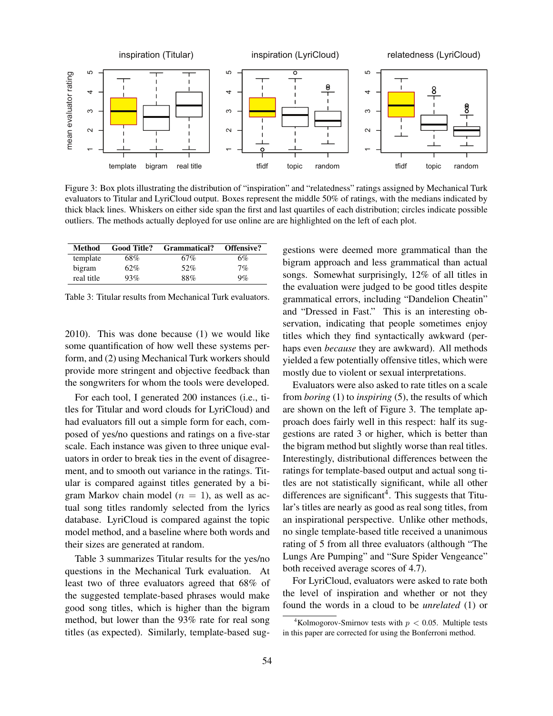

Figure 3: Box plots illustrating the distribution of "inspiration" and "relatedness" ratings assigned by Mechanical Turk evaluators to Titular and LyriCloud output. Boxes represent the middle 50% of ratings, with the medians indicated by thick black lines. Whiskers on either side span the first and last quartiles of each distribution; circles indicate possible outliers. The methods actually deployed for use online are are highlighted on the left of each plot.

| Method     | <b>Good Title?</b> | Grammatical? | <b>Offensive?</b> |
|------------|--------------------|--------------|-------------------|
| template   | 68%                | 67%          | 6%                |
| bigram     | 62%                | 52%          | 7%                |
| real title | 93%                | 88%          | 9%                |

Table 3: Titular results from Mechanical Turk evaluators.

2010). This was done because (1) we would like some quantification of how well these systems perform, and (2) using Mechanical Turk workers should provide more stringent and objective feedback than the songwriters for whom the tools were developed.

For each tool, I generated 200 instances (i.e., titles for Titular and word clouds for LyriCloud) and had evaluators fill out a simple form for each, composed of yes/no questions and ratings on a five-star scale. Each instance was given to three unique evaluators in order to break ties in the event of disagreement, and to smooth out variance in the ratings. Titular is compared against titles generated by a bigram Markov chain model ( $n = 1$ ), as well as actual song titles randomly selected from the lyrics database. LyriCloud is compared against the topic model method, and a baseline where both words and their sizes are generated at random.

Table 3 summarizes Titular results for the yes/no questions in the Mechanical Turk evaluation. At least two of three evaluators agreed that 68% of the suggested template-based phrases would make good song titles, which is higher than the bigram method, but lower than the 93% rate for real song titles (as expected). Similarly, template-based suggestions were deemed more grammatical than the bigram approach and less grammatical than actual songs. Somewhat surprisingly, 12% of all titles in the evaluation were judged to be good titles despite grammatical errors, including "Dandelion Cheatin" and "Dressed in Fast." This is an interesting observation, indicating that people sometimes enjoy titles which they find syntactically awkward (perhaps even *because* they are awkward). All methods yielded a few potentially offensive titles, which were mostly due to violent or sexual interpretations.

Evaluators were also asked to rate titles on a scale from *boring* (1) to *inspiring* (5), the results of which are shown on the left of Figure 3. The template approach does fairly well in this respect: half its suggestions are rated 3 or higher, which is better than the bigram method but slightly worse than real titles. Interestingly, distributional differences between the ratings for template-based output and actual song titles are not statistically significant, while all other differences are significant<sup>4</sup>. This suggests that Titular's titles are nearly as good as real song titles, from an inspirational perspective. Unlike other methods, no single template-based title received a unanimous rating of 5 from all three evaluators (although "The Lungs Are Pumping" and "Sure Spider Vengeance" both received average scores of 4.7).

For LyriCloud, evaluators were asked to rate both the level of inspiration and whether or not they found the words in a cloud to be *unrelated* (1) or

<sup>&</sup>lt;sup>4</sup>Kolmogorov-Smirnov tests with  $p < 0.05$ . Multiple tests in this paper are corrected for using the Bonferroni method.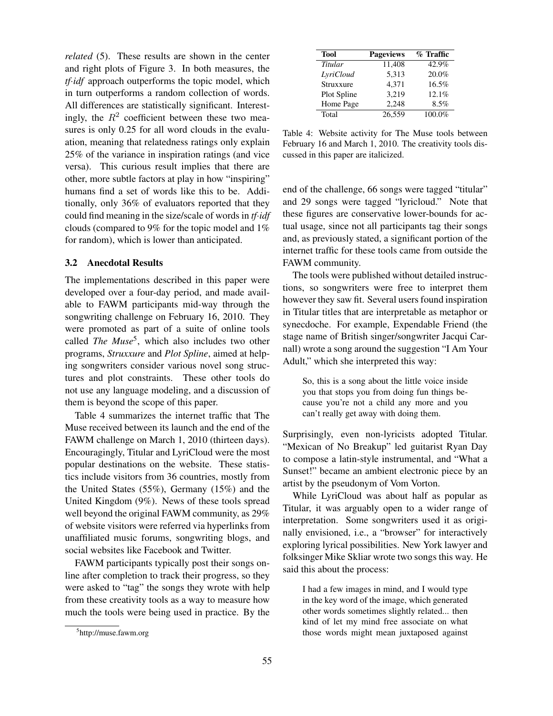*related* (5). These results are shown in the center and right plots of Figure 3. In both measures, the *tf*·*idf* approach outperforms the topic model, which in turn outperforms a random collection of words. All differences are statistically significant. Interestingly, the  $R^2$  coefficient between these two measures is only 0.25 for all word clouds in the evaluation, meaning that relatedness ratings only explain 25% of the variance in inspiration ratings (and vice versa). This curious result implies that there are other, more subtle factors at play in how "inspiring" humans find a set of words like this to be. Additionally, only 36% of evaluators reported that they could find meaning in the size/scale of words in *tf*·*idf* clouds (compared to 9% for the topic model and 1% for random), which is lower than anticipated.

### 3.2 Anecdotal Results

The implementations described in this paper were developed over a four-day period, and made available to FAWM participants mid-way through the songwriting challenge on February 16, 2010. They were promoted as part of a suite of online tools called *The Muse*<sup>5</sup> , which also includes two other programs, *Struxxure* and *Plot Spline*, aimed at helping songwriters consider various novel song structures and plot constraints. These other tools do not use any language modeling, and a discussion of them is beyond the scope of this paper.

Table 4 summarizes the internet traffic that The Muse received between its launch and the end of the FAWM challenge on March 1, 2010 (thirteen days). Encouragingly, Titular and LyriCloud were the most popular destinations on the website. These statistics include visitors from 36 countries, mostly from the United States (55%), Germany (15%) and the United Kingdom (9%). News of these tools spread well beyond the original FAWM community, as 29% of website visitors were referred via hyperlinks from unaffiliated music forums, songwriting blogs, and social websites like Facebook and Twitter.

FAWM participants typically post their songs online after completion to track their progress, so they were asked to "tag" the songs they wrote with help from these creativity tools as a way to measure how much the tools were being used in practice. By the

| Tool        | <b>Pageviews</b> | % Traffic |
|-------------|------------------|-----------|
| Titular     | 11,408           | 42.9%     |
| LyriCloud   | 5.313            | 20.0%     |
| Struxxure   | 4.371            | 16.5%     |
| Plot Spline | 3.219            | 12.1%     |
| Home Page   | 2,248            | 8.5%      |
| Total       | 26.559           | 100.0%    |

Table 4: Website activity for The Muse tools between February 16 and March 1, 2010. The creativity tools discussed in this paper are italicized.

end of the challenge, 66 songs were tagged "titular" and 29 songs were tagged "lyricloud." Note that these figures are conservative lower-bounds for actual usage, since not all participants tag their songs and, as previously stated, a significant portion of the internet traffic for these tools came from outside the FAWM community.

The tools were published without detailed instructions, so songwriters were free to interpret them however they saw fit. Several users found inspiration in Titular titles that are interpretable as metaphor or synecdoche. For example, Expendable Friend (the stage name of British singer/songwriter Jacqui Carnall) wrote a song around the suggestion "I Am Your Adult," which she interpreted this way:

So, this is a song about the little voice inside you that stops you from doing fun things because you're not a child any more and you can't really get away with doing them.

Surprisingly, even non-lyricists adopted Titular. "Mexican of No Breakup" led guitarist Ryan Day to compose a latin-style instrumental, and "What a Sunset!" became an ambient electronic piece by an artist by the pseudonym of Vom Vorton.

While LyriCloud was about half as popular as Titular, it was arguably open to a wider range of interpretation. Some songwriters used it as originally envisioned, i.e., a "browser" for interactively exploring lyrical possibilities. New York lawyer and folksinger Mike Skliar wrote two songs this way. He said this about the process:

I had a few images in mind, and I would type in the key word of the image, which generated other words sometimes slightly related... then kind of let my mind free associate on what those words might mean juxtaposed against

<sup>&</sup>lt;sup>5</sup>http://muse.fawm.org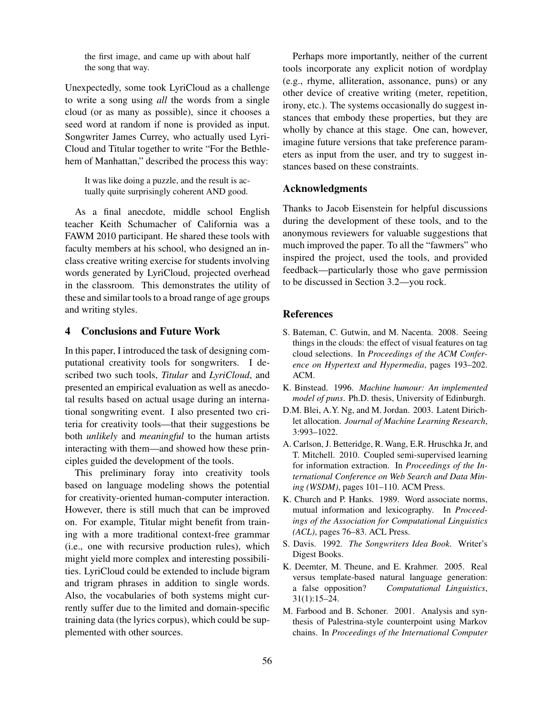the first image, and came up with about half the song that way.

Unexpectedly, some took LyriCloud as a challenge to write a song using *all* the words from a single cloud (or as many as possible), since it chooses a seed word at random if none is provided as input. Songwriter James Currey, who actually used Lyri-Cloud and Titular together to write "For the Bethlehem of Manhattan," described the process this way:

It was like doing a puzzle, and the result is actually quite surprisingly coherent AND good.

As a final anecdote, middle school English teacher Keith Schumacher of California was a FAWM 2010 participant. He shared these tools with faculty members at his school, who designed an inclass creative writing exercise for students involving words generated by LyriCloud, projected overhead in the classroom. This demonstrates the utility of these and similar tools to a broad range of age groups and writing styles.

## 4 Conclusions and Future Work

In this paper, I introduced the task of designing computational creativity tools for songwriters. I described two such tools, *Titular* and *LyriCloud*, and presented an empirical evaluation as well as anecdotal results based on actual usage during an international songwriting event. I also presented two criteria for creativity tools—that their suggestions be both *unlikely* and *meaningful* to the human artists interacting with them—and showed how these principles guided the development of the tools.

This preliminary foray into creativity tools based on language modeling shows the potential for creativity-oriented human-computer interaction. However, there is still much that can be improved on. For example, Titular might benefit from training with a more traditional context-free grammar (i.e., one with recursive production rules), which might yield more complex and interesting possibilities. LyriCloud could be extended to include bigram and trigram phrases in addition to single words. Also, the vocabularies of both systems might currently suffer due to the limited and domain-specific training data (the lyrics corpus), which could be supplemented with other sources.

Perhaps more importantly, neither of the current tools incorporate any explicit notion of wordplay (e.g., rhyme, alliteration, assonance, puns) or any other device of creative writing (meter, repetition, irony, etc.). The systems occasionally do suggest instances that embody these properties, but they are wholly by chance at this stage. One can, however, imagine future versions that take preference parameters as input from the user, and try to suggest instances based on these constraints.

## Acknowledgments

Thanks to Jacob Eisenstein for helpful discussions during the development of these tools, and to the anonymous reviewers for valuable suggestions that much improved the paper. To all the "fawmers" who inspired the project, used the tools, and provided feedback—particularly those who gave permission to be discussed in Section 3.2—you rock.

## References

- S. Bateman, C. Gutwin, and M. Nacenta. 2008. Seeing things in the clouds: the effect of visual features on tag cloud selections. In *Proceedings of the ACM Conference on Hypertext and Hypermedia*, pages 193–202. ACM.
- K. Binstead. 1996. *Machine humour: An implemented model of puns*. Ph.D. thesis, University of Edinburgh.
- D.M. Blei, A.Y. Ng, and M. Jordan. 2003. Latent Dirichlet allocation. *Journal of Machine Learning Research*, 3:993–1022.
- A. Carlson, J. Betteridge, R. Wang, E.R. Hruschka Jr, and T. Mitchell. 2010. Coupled semi-supervised learning for information extraction. In *Proceedings of the International Conference on Web Search and Data Mining (WSDM)*, pages 101–110. ACM Press.
- K. Church and P. Hanks. 1989. Word associate norms, mutual information and lexicography. In *Proceedings of the Association for Computational Linguistics (ACL)*, pages 76–83. ACL Press.
- S. Davis. 1992. *The Songwriters Idea Book*. Writer's Digest Books.
- K. Deemter, M. Theune, and E. Krahmer. 2005. Real versus template-based natural language generation: a false opposition? *Computational Linguistics*, 31(1):15–24.
- M. Farbood and B. Schoner. 2001. Analysis and synthesis of Palestrina-style counterpoint using Markov chains. In *Proceedings of the International Computer*